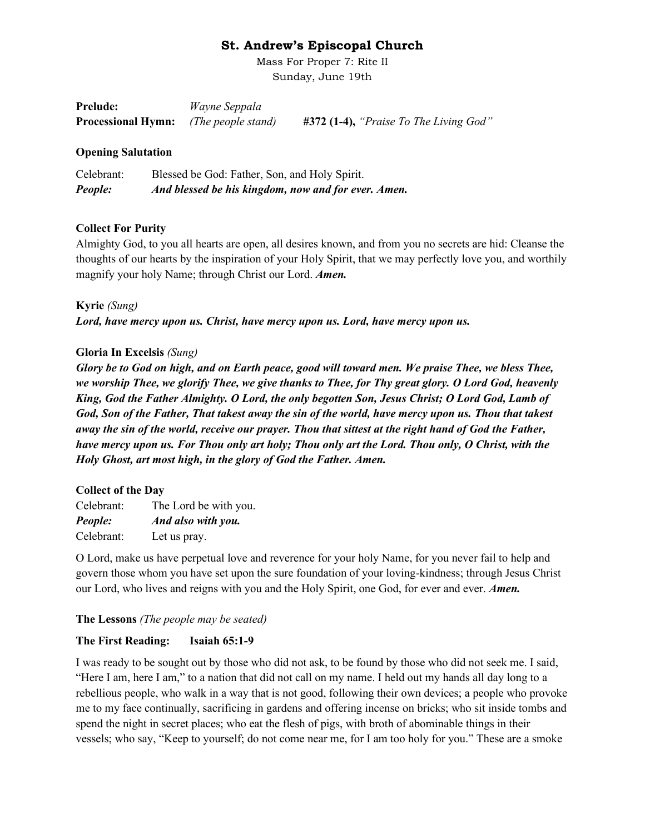Mass For Proper 7: Rite II Sunday, June 19th

| <b>Prelude:</b>                              | <i>Wayne Seppala</i> |                                          |  |  |
|----------------------------------------------|----------------------|------------------------------------------|--|--|
| <b>Processional Hymn:</b> (The people stand) |                      | $#372$ (1-4), "Praise To The Living God" |  |  |

#### **Opening Salutation**

| People:    | And blessed be his kingdom, now and for ever. Amen. |
|------------|-----------------------------------------------------|
| Celebrant: | Blessed be God: Father, Son, and Holy Spirit.       |

#### **Collect For Purity**

Almighty God, to you all hearts are open, all desires known, and from you no secrets are hid: Cleanse the thoughts of our hearts by the inspiration of your Holy Spirit, that we may perfectly love you, and worthily magnify your holy Name; through Christ our Lord. *Amen.*

**Kyrie** *(Sung) Lord, have mercy upon us. Christ, have mercy upon us. Lord, have mercy upon us.*

#### **Gloria In Excelsis** *(Sung)*

*Glory be to God on high, and on Earth peace, good will toward men. We praise Thee, we bless Thee, we worship Thee, we glorify Thee, we give thanks to Thee, for Thy great glory. O Lord God, heavenly King, God the Father Almighty. O Lord, the only begotten Son, Jesus Christ; O Lord God, Lamb of God, Son of the Father, That takest away the sin of the world, have mercy upon us. Thou that takest away the sin of the world, receive our prayer. Thou that sittest at the right hand of God the Father, have mercy upon us. For Thou only art holy; Thou only art the Lord. Thou only, O Christ, with the Holy Ghost, art most high, in the glory of God the Father. Amen.*

#### **Collect of the Day**

| Celebrant: | The Lord be with you. |
|------------|-----------------------|
| People:    | And also with you.    |
| Celebrant: | Let us pray.          |

O Lord, make us have perpetual love and reverence for your holy Name, for you never fail to help and govern those whom you have set upon the sure foundation of your loving-kindness; through Jesus Christ our Lord, who lives and reigns with you and the Holy Spirit, one God, for ever and ever. *Amen.*

## **The Lessons** *(The people may be seated)*

## **The First Reading: Isaiah 65:1-9**

I was ready to be sought out by those who did not ask, to be found by those who did not seek me. I said, "Here I am, here I am," to a nation that did not call on my name. I held out my hands all day long to a rebellious people, who walk in a way that is not good, following their own devices; a people who provoke me to my face continually, sacrificing in gardens and offering incense on bricks; who sit inside tombs and spend the night in secret places; who eat the flesh of pigs, with broth of abominable things in their vessels; who say, "Keep to yourself; do not come near me, for I am too holy for you." These are a smoke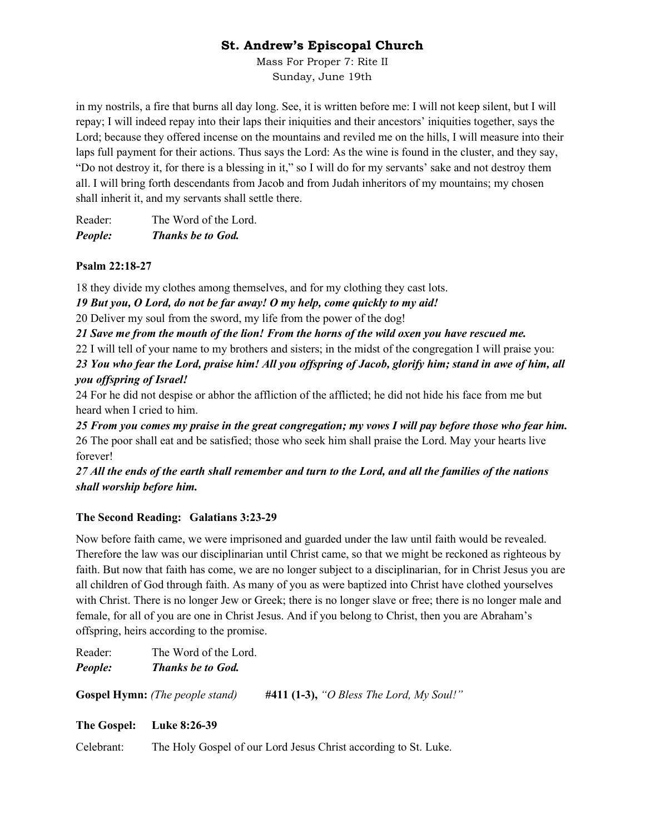Mass For Proper 7: Rite II Sunday, June 19th

in my nostrils, a fire that burns all day long. See, it is written before me: I will not keep silent, but I will repay; I will indeed repay into their laps their iniquities and their ancestors' iniquities together, says the Lord; because they offered incense on the mountains and reviled me on the hills, I will measure into their laps full payment for their actions. Thus says the Lord: As the wine is found in the cluster, and they say, "Do not destroy it, for there is a blessing in it," so I will do for my servants' sake and not destroy them all. I will bring forth descendants from Jacob and from Judah inheritors of my mountains; my chosen shall inherit it, and my servants shall settle there.

Reader: The Word of the Lord. *People: Thanks be to God.*

## **Psalm 22:18-27**

18 they divide my clothes among themselves, and for my clothing they cast lots.

*19 But you, O Lord, do not be far away! O my help, come quickly to my aid!*

20 Deliver my soul from the sword, my life from the power of the dog!

*21 Save me from the mouth of the lion! From the horns of the wild oxen you have rescued me.*

22 I will tell of your name to my brothers and sisters; in the midst of the congregation I will praise you:

*23 You who fear the Lord, praise him! All you offspring of Jacob, glorify him; stand in awe of him, all you offspring of Israel!*

24 For he did not despise or abhor the affliction of the afflicted; he did not hide his face from me but heard when I cried to him.

*25 From you comes my praise in the great congregation; my vows I will pay before those who fear him.* 26 The poor shall eat and be satisfied; those who seek him shall praise the Lord. May your hearts live forever!

*27 All the ends of the earth shall remember and turn to the Lord, and all the families of the nations shall worship before him.*

## **The Second Reading: Galatians 3:23-29**

Now before faith came, we were imprisoned and guarded under the law until faith would be revealed. Therefore the law was our disciplinarian until Christ came, so that we might be reckoned as righteous by faith. But now that faith has come, we are no longer subject to a disciplinarian, for in Christ Jesus you are all children of God through faith. As many of you as were baptized into Christ have clothed yourselves with Christ. There is no longer Jew or Greek; there is no longer slave or free; there is no longer male and female, for all of you are one in Christ Jesus. And if you belong to Christ, then you are Abraham's offspring, heirs according to the promise.

Reader: The Word of the Lord. *People: Thanks be to God.*

**Gospel Hymn:** *(The people stand)* **#411 (1-3),** *"O Bless The Lord, My Soul!"*

**The Gospel: Luke 8:26-39**

Celebrant: The Holy Gospel of our Lord Jesus Christ according to St. Luke.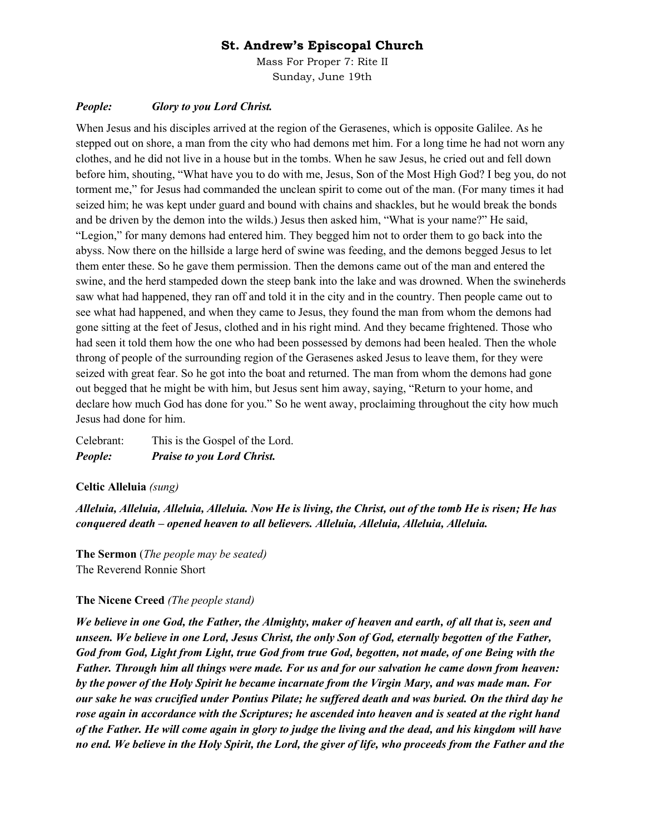Mass For Proper 7: Rite II Sunday, June 19th

#### *People: Glory to you Lord Christ.*

When Jesus and his disciples arrived at the region of the Gerasenes, which is opposite Galilee. As he stepped out on shore, a man from the city who had demons met him. For a long time he had not worn any clothes, and he did not live in a house but in the tombs. When he saw Jesus, he cried out and fell down before him, shouting, "What have you to do with me, Jesus, Son of the Most High God? I beg you, do not torment me," for Jesus had commanded the unclean spirit to come out of the man. (For many times it had seized him; he was kept under guard and bound with chains and shackles, but he would break the bonds and be driven by the demon into the wilds.) Jesus then asked him, "What is your name?" He said, "Legion," for many demons had entered him. They begged him not to order them to go back into the abyss. Now there on the hillside a large herd of swine was feeding, and the demons begged Jesus to let them enter these. So he gave them permission. Then the demons came out of the man and entered the swine, and the herd stampeded down the steep bank into the lake and was drowned. When the swineherds saw what had happened, they ran off and told it in the city and in the country. Then people came out to see what had happened, and when they came to Jesus, they found the man from whom the demons had gone sitting at the feet of Jesus, clothed and in his right mind. And they became frightened. Those who had seen it told them how the one who had been possessed by demons had been healed. Then the whole throng of people of the surrounding region of the Gerasenes asked Jesus to leave them, for they were seized with great fear. So he got into the boat and returned. The man from whom the demons had gone out begged that he might be with him, but Jesus sent him away, saying, "Return to your home, and declare how much God has done for you." So he went away, proclaiming throughout the city how much Jesus had done for him.

Celebrant: This is the Gospel of the Lord. *People: Praise to you Lord Christ.*

#### **Celtic Alleluia** *(sung)*

*Alleluia, Alleluia, Alleluia, Alleluia. Now He is living, the Christ, out of the tomb He is risen; He has conquered death – opened heaven to all believers. Alleluia, Alleluia, Alleluia, Alleluia.*

**The Sermon** (*The people may be seated)* The Reverend Ronnie Short

#### **The Nicene Creed** *(The people stand)*

*We believe in one God, the Father, the Almighty, maker of heaven and earth, of all that is, seen and unseen. We believe in one Lord, Jesus Christ, the only Son of God, eternally begotten of the Father, God from God, Light from Light, true God from true God, begotten, not made, of one Being with the Father. Through him all things were made. For us and for our salvation he came down from heaven: by the power of the Holy Spirit he became incarnate from the Virgin Mary, and was made man. For our sake he was crucified under Pontius Pilate; he suffered death and was buried. On the third day he rose again in accordance with the Scriptures; he ascended into heaven and is seated at the right hand of the Father. He will come again in glory to judge the living and the dead, and his kingdom will have no end. We believe in the Holy Spirit, the Lord, the giver of life, who proceeds from the Father and the*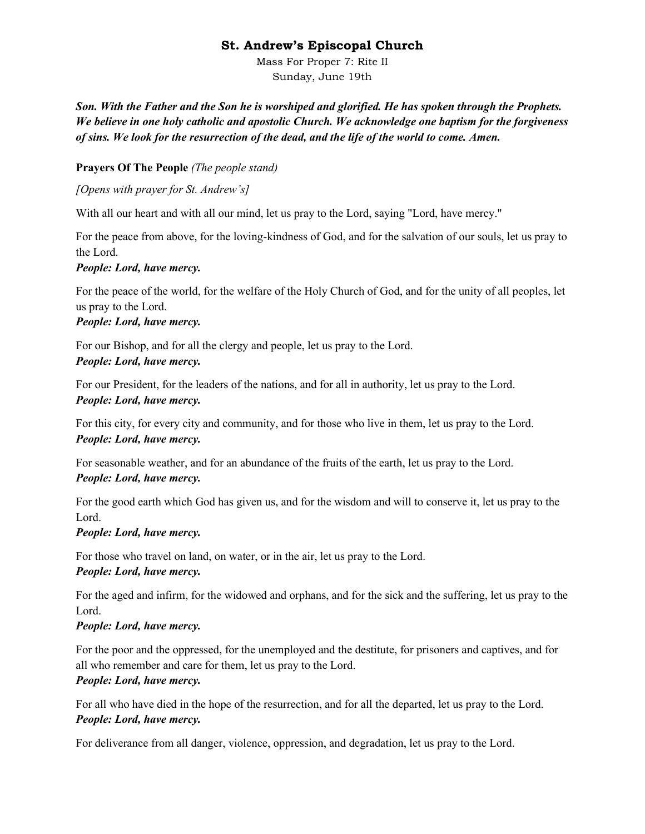Mass For Proper 7: Rite II Sunday, June 19th

*Son. With the Father and the Son he is worshiped and glorified. He has spoken through the Prophets. We believe in one holy catholic and apostolic Church. We acknowledge one baptism for the forgiveness of sins. We look for the resurrection of the dead, and the life of the world to come. Amen.*

## **Prayers Of The People** *(The people stand)*

*[Opens with prayer for St. Andrew's]*

With all our heart and with all our mind, let us pray to the Lord, saying "Lord, have mercy."

For the peace from above, for the loving-kindness of God, and for the salvation of our souls, let us pray to the Lord.

## *People: Lord, have mercy.*

For the peace of the world, for the welfare of the Holy Church of God, and for the unity of all peoples, let us pray to the Lord.

## *People: Lord, have mercy.*

For our Bishop, and for all the clergy and people, let us pray to the Lord. *People: Lord, have mercy.*

For our President, for the leaders of the nations, and for all in authority, let us pray to the Lord. *People: Lord, have mercy.*

For this city, for every city and community, and for those who live in them, let us pray to the Lord. *People: Lord, have mercy.*

For seasonable weather, and for an abundance of the fruits of the earth, let us pray to the Lord. *People: Lord, have mercy.*

For the good earth which God has given us, and for the wisdom and will to conserve it, let us pray to the Lord.

## *People: Lord, have mercy.*

For those who travel on land, on water, or in the air, let us pray to the Lord. *People: Lord, have mercy.*

For the aged and infirm, for the widowed and orphans, and for the sick and the suffering, let us pray to the Lord.

## *People: Lord, have mercy.*

For the poor and the oppressed, for the unemployed and the destitute, for prisoners and captives, and for all who remember and care for them, let us pray to the Lord.

## *People: Lord, have mercy.*

For all who have died in the hope of the resurrection, and for all the departed, let us pray to the Lord. *People: Lord, have mercy.*

For deliverance from all danger, violence, oppression, and degradation, let us pray to the Lord.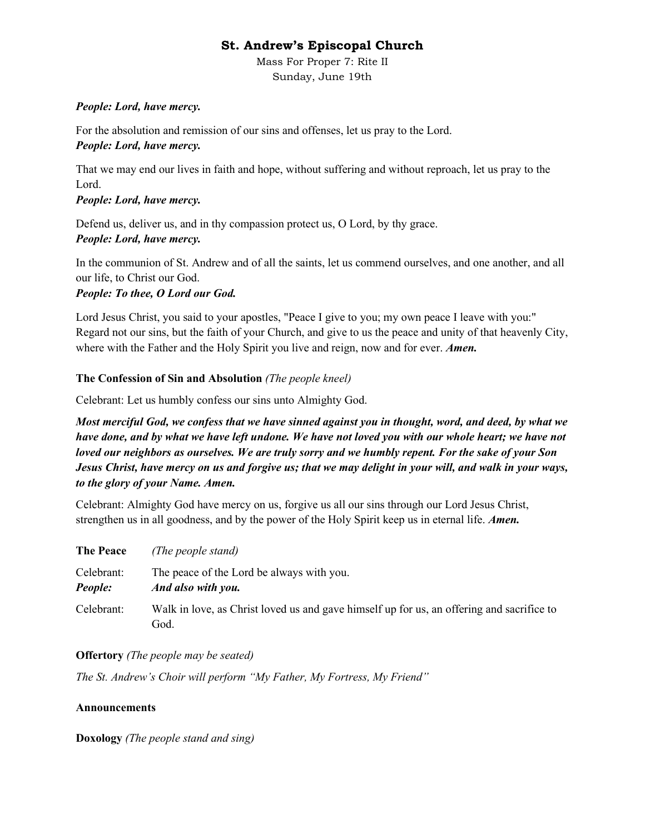Mass For Proper 7: Rite II Sunday, June 19th

#### *People: Lord, have mercy.*

For the absolution and remission of our sins and offenses, let us pray to the Lord. *People: Lord, have mercy.*

That we may end our lives in faith and hope, without suffering and without reproach, let us pray to the Lord.

*People: Lord, have mercy.*

Defend us, deliver us, and in thy compassion protect us, O Lord, by thy grace. *People: Lord, have mercy.*

In the communion of St. Andrew and of all the saints, let us commend ourselves, and one another, and all our life, to Christ our God.

## *People: To thee, O Lord our God.*

Lord Jesus Christ, you said to your apostles, "Peace I give to you; my own peace I leave with you:" Regard not our sins, but the faith of your Church, and give to us the peace and unity of that heavenly City, where with the Father and the Holy Spirit you live and reign, now and for ever. *Amen.*

## **The Confession of Sin and Absolution** *(The people kneel)*

Celebrant: Let us humbly confess our sins unto Almighty God.

*Most merciful God, we confess that we have sinned against you in thought, word, and deed, by what we have done, and by what we have left undone. We have not loved you with our whole heart; we have not loved our neighbors as ourselves. We are truly sorry and we humbly repent. For the sake of your Son Jesus Christ, have mercy on us and forgive us; that we may delight in your will, and walk in your ways, to the glory of your Name. Amen.*

Celebrant: Almighty God have mercy on us, forgive us all our sins through our Lord Jesus Christ, strengthen us in all goodness, and by the power of the Holy Spirit keep us in eternal life. *Amen.*

| <b>The Peace</b>             | (The people stand)                                                                                |
|------------------------------|---------------------------------------------------------------------------------------------------|
| Celebrant:<br><b>People:</b> | The peace of the Lord be always with you.<br>And also with you.                                   |
| Celebrant:                   | Walk in love, as Christ loved us and gave himself up for us, an offering and sacrifice to<br>God. |

## **Offertory** *(The people may be seated)*

*The St. Andrew's Choir will perform "My Father, My Fortress, My Friend"*

#### **Announcements**

**Doxology** *(The people stand and sing)*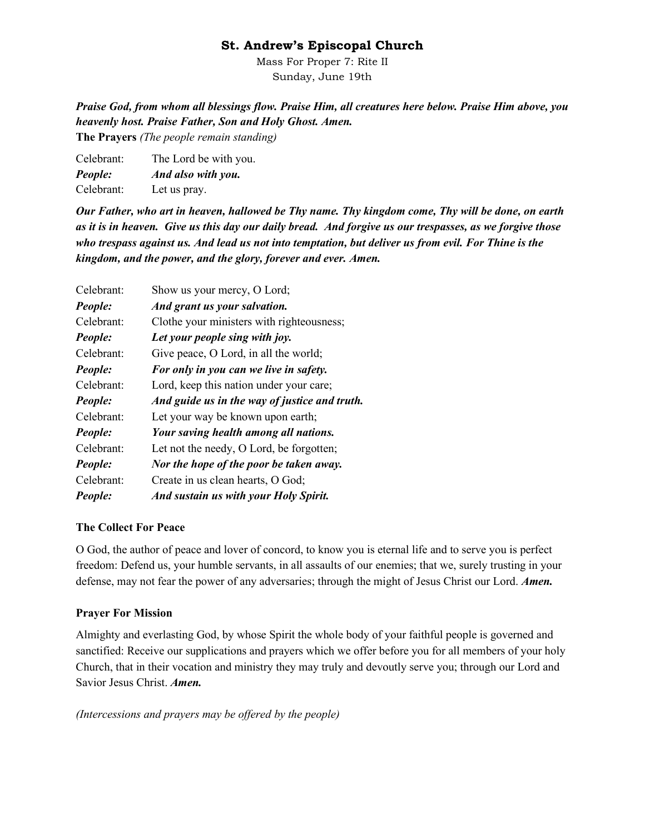Mass For Proper 7: Rite II Sunday, June 19th

*Praise God, from whom all blessings flow. Praise Him, all creatures here below. Praise Him above, you heavenly host. Praise Father, Son and Holy Ghost. Amen.* **The Prayers** *(The people remain standing)*

| Celebrant: | The Lord be with you. |
|------------|-----------------------|
| People:    | And also with you.    |
| Celebrant: | Let us pray.          |

*Our Father, who art in heaven, hallowed be Thy name. Thy kingdom come, Thy will be done, on earth as it is in heaven. Give us this day our daily bread. And forgive us our trespasses, as we forgive those who trespass against us. And lead us not into temptation, but deliver us from evil. For Thine is the kingdom, and the power, and the glory, forever and ever. Amen.*

| Show us your mercy, O Lord;                   |
|-----------------------------------------------|
| And grant us your salvation.                  |
| Clothe your ministers with righteousness;     |
| Let your people sing with joy.                |
| Give peace, O Lord, in all the world;         |
| For only in you can we live in safety.        |
| Lord, keep this nation under your care;       |
| And guide us in the way of justice and truth. |
| Let your way be known upon earth;             |
| Your saving health among all nations.         |
| Let not the needy, O Lord, be forgotten;      |
| Nor the hope of the poor be taken away.       |
| Create in us clean hearts, O God;             |
| And sustain us with your Holy Spirit.         |
|                                               |

#### **The Collect For Peace**

O God, the author of peace and lover of concord, to know you is eternal life and to serve you is perfect freedom: Defend us, your humble servants, in all assaults of our enemies; that we, surely trusting in your defense, may not fear the power of any adversaries; through the might of Jesus Christ our Lord. *Amen.*

#### **Prayer For Mission**

Almighty and everlasting God, by whose Spirit the whole body of your faithful people is governed and sanctified: Receive our supplications and prayers which we offer before you for all members of your holy Church, that in their vocation and ministry they may truly and devoutly serve you; through our Lord and Savior Jesus Christ. *Amen.*

*(Intercessions and prayers may be offered by the people)*